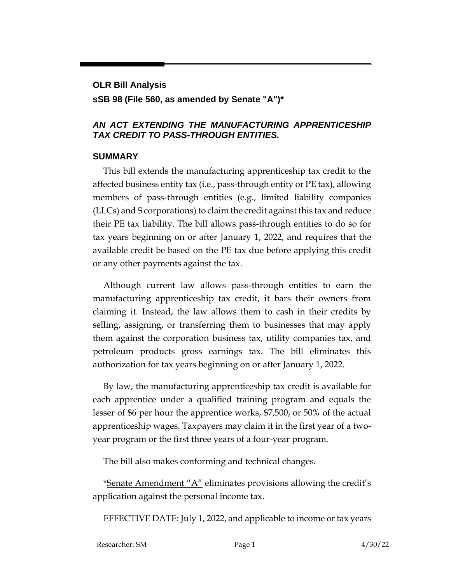## **OLR Bill Analysis sSB 98 (File 560, as amended by Senate "A")\***

## *AN ACT EXTENDING THE MANUFACTURING APPRENTICESHIP TAX CREDIT TO PASS-THROUGH ENTITIES.*

## **SUMMARY**

This bill extends the manufacturing apprenticeship tax credit to the affected business entity tax (i.e., pass-through entity or PE tax), allowing members of pass-through entities (e.g., limited liability companies (LLCs) and S corporations) to claim the credit against this tax and reduce their PE tax liability. The bill allows pass-through entities to do so for tax years beginning on or after January 1, 2022, and requires that the available credit be based on the PE tax due before applying this credit or any other payments against the tax.

Although current law allows pass-through entities to earn the manufacturing apprenticeship tax credit, it bars their owners from claiming it. Instead, the law allows them to cash in their credits by selling, assigning, or transferring them to businesses that may apply them against the corporation business tax, utility companies tax, and petroleum products gross earnings tax. The bill eliminates this authorization for tax years beginning on or after January 1, 2022.

By law, the manufacturing apprenticeship tax credit is available for each apprentice under a qualified training program and equals the lesser of \$6 per hour the apprentice works, \$7,500, or 50% of the actual apprenticeship wages. Taxpayers may claim it in the first year of a twoyear program or the first three years of a four-year program.

The bill also makes conforming and technical changes.

\*Senate Amendment "A" eliminates provisions allowing the credit's application against the personal income tax.

EFFECTIVE DATE: July 1, 2022, and applicable to income or tax years

| Researcher: SM | Page 1 | 4/30/22 |
|----------------|--------|---------|
|                |        |         |